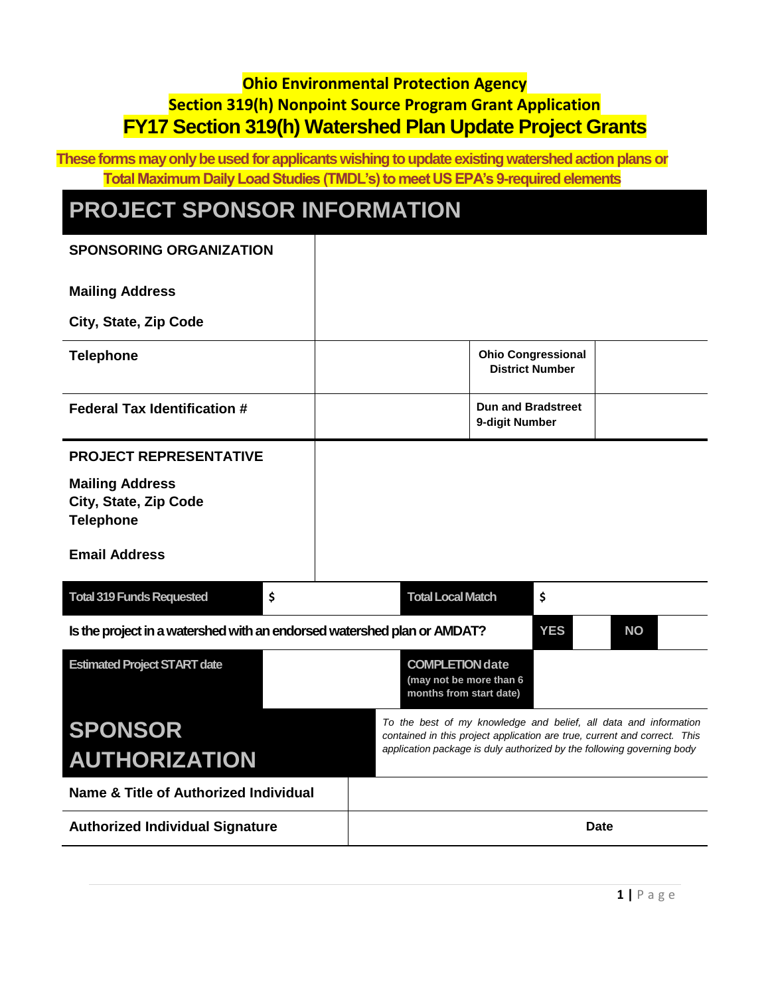### **Ohio Environmental Protection Agency Section 319(h) Nonpoint Source Program Grant Application FY17 Section 319(h) Watershed Plan Update Project Grants**

**These forms may only be used for applicants wishing to update existing watershed action plans or Total Maximum Daily Load Studies (TMDL's) to meet US EPA's 9-required elements**

## **PROJECT SPONSOR INFORMATION**

| <b>SPONSORING ORGANIZATION</b>                                          |    |                                                                              |                                             |                                                     |                                                                                                                                               |
|-------------------------------------------------------------------------|----|------------------------------------------------------------------------------|---------------------------------------------|-----------------------------------------------------|-----------------------------------------------------------------------------------------------------------------------------------------------|
| <b>Mailing Address</b>                                                  |    |                                                                              |                                             |                                                     |                                                                                                                                               |
| City, State, Zip Code                                                   |    |                                                                              |                                             |                                                     |                                                                                                                                               |
| <b>Telephone</b>                                                        |    |                                                                              |                                             | <b>Ohio Congressional</b><br><b>District Number</b> |                                                                                                                                               |
| <b>Federal Tax Identification #</b>                                     |    |                                                                              | <b>Dun and Bradstreet</b><br>9-digit Number |                                                     |                                                                                                                                               |
| <b>PROJECT REPRESENTATIVE</b>                                           |    |                                                                              |                                             |                                                     |                                                                                                                                               |
| <b>Mailing Address</b><br>City, State, Zip Code<br><b>Telephone</b>     |    |                                                                              |                                             |                                                     |                                                                                                                                               |
| <b>Email Address</b>                                                    |    |                                                                              |                                             |                                                     |                                                                                                                                               |
| <b>Total 319 Funds Requested</b>                                        | \$ | <b>Total Local Match</b>                                                     |                                             | \$                                                  |                                                                                                                                               |
| Is the project in a watershed with an endorsed watershed plan or AMDAT? |    |                                                                              |                                             | <b>YES</b>                                          | <b>NO</b>                                                                                                                                     |
| <b>Estimated Project START date</b>                                     |    | <b>COMPLETION date</b><br>(may not be more than 6<br>months from start date) |                                             |                                                     |                                                                                                                                               |
| <b>SPONSOR</b>                                                          |    |                                                                              |                                             |                                                     | To the best of my knowledge and belief, all data and information<br>contained in this project application are true, current and correct. This |
| <b>AUTHORIZATION</b>                                                    |    |                                                                              |                                             |                                                     | application package is duly authorized by the following governing body                                                                        |
| Name & Title of Authorized Individual                                   |    |                                                                              |                                             |                                                     |                                                                                                                                               |
| <b>Authorized Individual Signature</b>                                  |    |                                                                              |                                             |                                                     | <b>Date</b>                                                                                                                                   |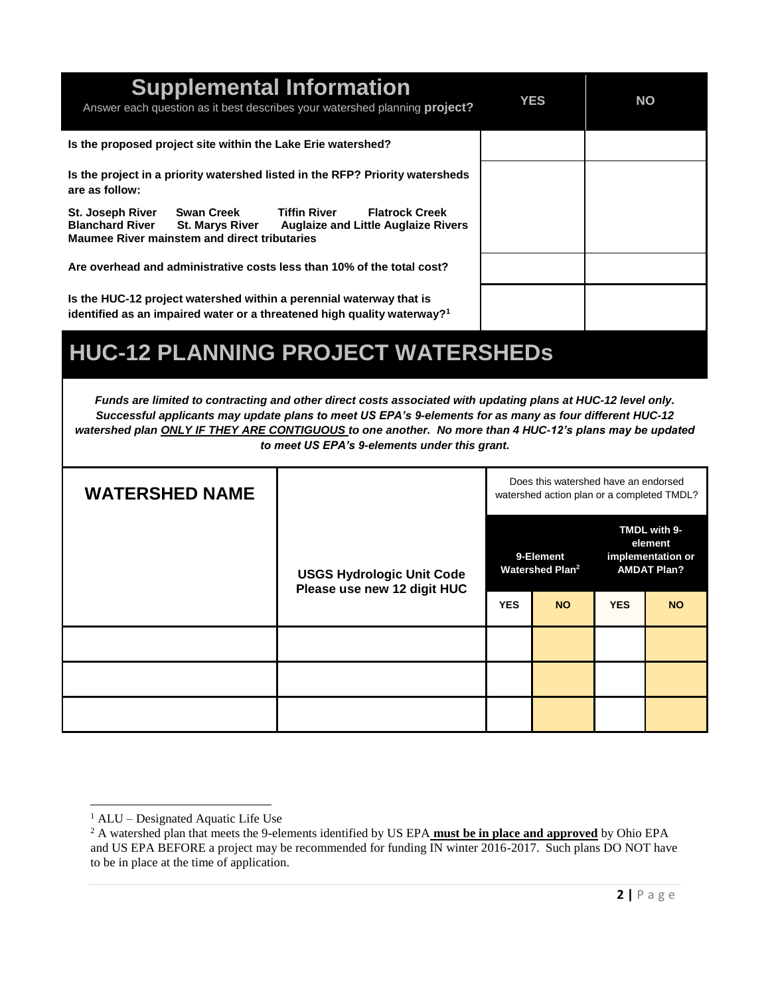| <b>Supplemental Information</b><br>Answer each question as it best describes your watershed planning project?                                                                                                                                         | <b>YES</b> | <b>NO</b> |
|-------------------------------------------------------------------------------------------------------------------------------------------------------------------------------------------------------------------------------------------------------|------------|-----------|
| Is the proposed project site within the Lake Erie watershed?                                                                                                                                                                                          |            |           |
| Is the project in a priority watershed listed in the RFP? Priority watersheds<br>are as follow:                                                                                                                                                       |            |           |
| <b>Swan Creek</b><br><b>Tiffin River</b><br><b>Flatrock Creek</b><br><b>St. Joseph River</b><br><b>Blanchard River</b><br><b>St. Marys River</b><br><b>Auglaize and Little Auglaize Rivers</b><br><b>Maumee River mainstem and direct tributaries</b> |            |           |
| Are overhead and administrative costs less than 10% of the total cost?                                                                                                                                                                                |            |           |
| Is the HUC-12 project watershed within a perennial waterway that is<br>identified as an impaired water or a threatened high quality waterway? <sup>1</sup>                                                                                            |            |           |
| <b>HUC-12 PLANNING PROJECT WATERSHEDS</b>                                                                                                                                                                                                             |            |           |

*Funds are limited to contracting and other direct costs associated with updating plans at HUC-12 level only. Successful applicants may update plans to meet US EPA's 9-elements for as many as four different HUC-12 watershed plan ONLY IF THEY ARE CONTIGUOUS to one another. No more than 4 HUC-12's plans may be updated to meet US EPA's 9-elements under this grant.*

| <b>WATERSHED NAME</b> |                                                                 |                                          | Does this watershed have an endorsed<br>watershed action plan or a completed TMDL? |                                                                    |           |
|-----------------------|-----------------------------------------------------------------|------------------------------------------|------------------------------------------------------------------------------------|--------------------------------------------------------------------|-----------|
|                       | <b>USGS Hydrologic Unit Code</b><br>Please use new 12 digit HUC | 9-Element<br>Watershed Plan <sup>2</sup> |                                                                                    | TMDL with 9-<br>element<br>implementation or<br><b>AMDAT Plan?</b> |           |
|                       |                                                                 | <b>YES</b>                               | <b>NO</b>                                                                          | <b>YES</b>                                                         | <b>NO</b> |
|                       |                                                                 |                                          |                                                                                    |                                                                    |           |
|                       |                                                                 |                                          |                                                                                    |                                                                    |           |
|                       |                                                                 |                                          |                                                                                    |                                                                    |           |

 $\overline{a}$ 

<sup>1</sup> ALU – Designated Aquatic Life Use

<sup>&</sup>lt;sup>2</sup> A watershed plan that meets the 9-elements identified by US EPA **must be in place and approved** by Ohio EPA and US EPA BEFORE a project may be recommended for funding IN winter 2016-2017. Such plans DO NOT have to be in place at the time of application.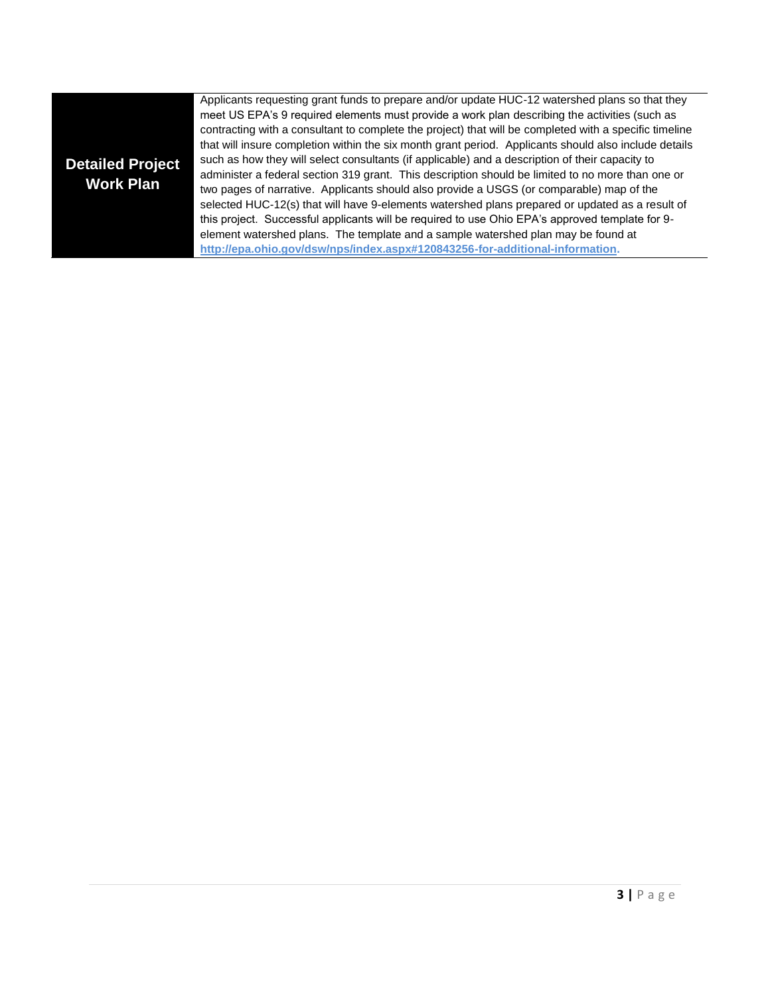| <b>Detailed Project</b><br><b>Work Plan</b> | Applicants requesting grant funds to prepare and/or update HUC-12 watershed plans so that they<br>meet US EPA's 9 required elements must provide a work plan describing the activities (such as<br>contracting with a consultant to complete the project) that will be completed with a specific timeline<br>that will insure completion within the six month grant period. Applicants should also include details<br>such as how they will select consultants (if applicable) and a description of their capacity to<br>administer a federal section 319 grant. This description should be limited to no more than one or<br>two pages of narrative. Applicants should also provide a USGS (or comparable) map of the<br>selected HUC-12(s) that will have 9-elements watershed plans prepared or updated as a result of<br>this project. Successful applicants will be required to use Ohio EPA's approved template for 9-<br>element watershed plans. The template and a sample watershed plan may be found at<br>http://epa.ohio.gov/dsw/nps/index.aspx#120843256-for-additional-information. |
|---------------------------------------------|---------------------------------------------------------------------------------------------------------------------------------------------------------------------------------------------------------------------------------------------------------------------------------------------------------------------------------------------------------------------------------------------------------------------------------------------------------------------------------------------------------------------------------------------------------------------------------------------------------------------------------------------------------------------------------------------------------------------------------------------------------------------------------------------------------------------------------------------------------------------------------------------------------------------------------------------------------------------------------------------------------------------------------------------------------------------------------------------------|
|---------------------------------------------|---------------------------------------------------------------------------------------------------------------------------------------------------------------------------------------------------------------------------------------------------------------------------------------------------------------------------------------------------------------------------------------------------------------------------------------------------------------------------------------------------------------------------------------------------------------------------------------------------------------------------------------------------------------------------------------------------------------------------------------------------------------------------------------------------------------------------------------------------------------------------------------------------------------------------------------------------------------------------------------------------------------------------------------------------------------------------------------------------|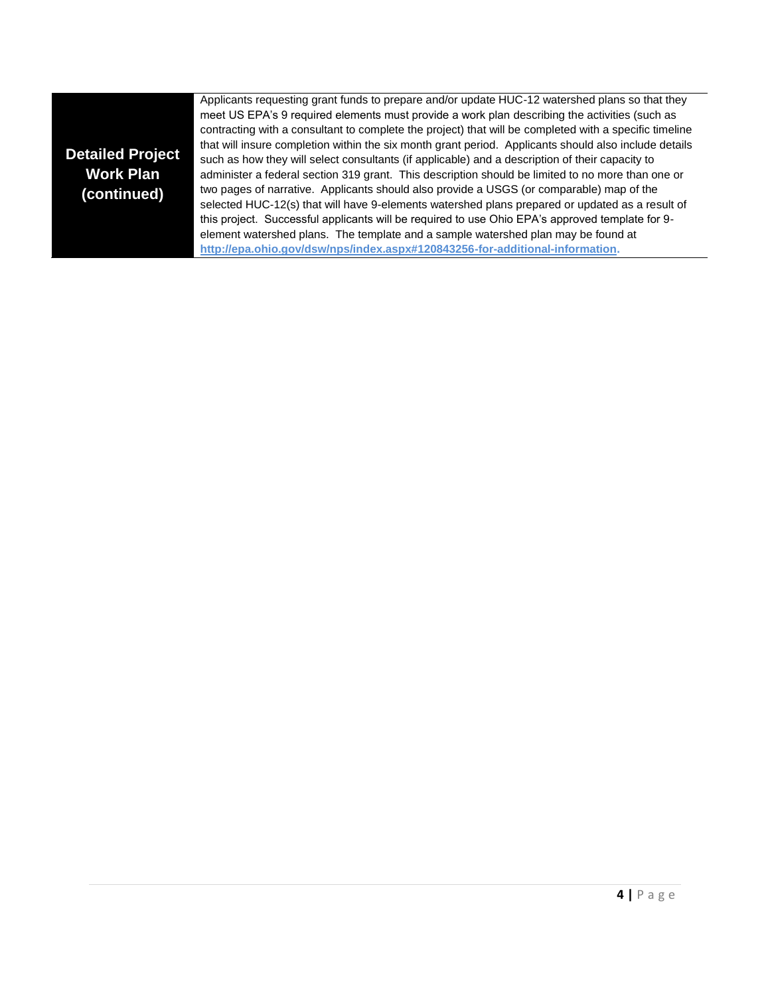#### **Detailed Project Work Plan (continued)**

Applicants requesting grant funds to prepare and/or update HUC-12 watershed plans so that they meet US EPA's 9 required elements must provide a work plan describing the activities (such as contracting with a consultant to complete the project) that will be completed with a specific timeline that will insure completion within the six month grant period. Applicants should also include details such as how they will select consultants (if applicable) and a description of their capacity to administer a federal section 319 grant. This description should be limited to no more than one or two pages of narrative. Applicants should also provide a USGS (or comparable) map of the selected HUC-12(s) that will have 9-elements watershed plans prepared or updated as a result of this project. Successful applicants will be required to use Ohio EPA's approved template for 9 element watershed plans. The template and a sample watershed plan may be found at **[http://epa.ohio.gov/dsw/nps/index.aspx#120843256-for-additional-information.](http://epa.ohio.gov/dsw/nps/index.aspx#120843256-for-additional-information)**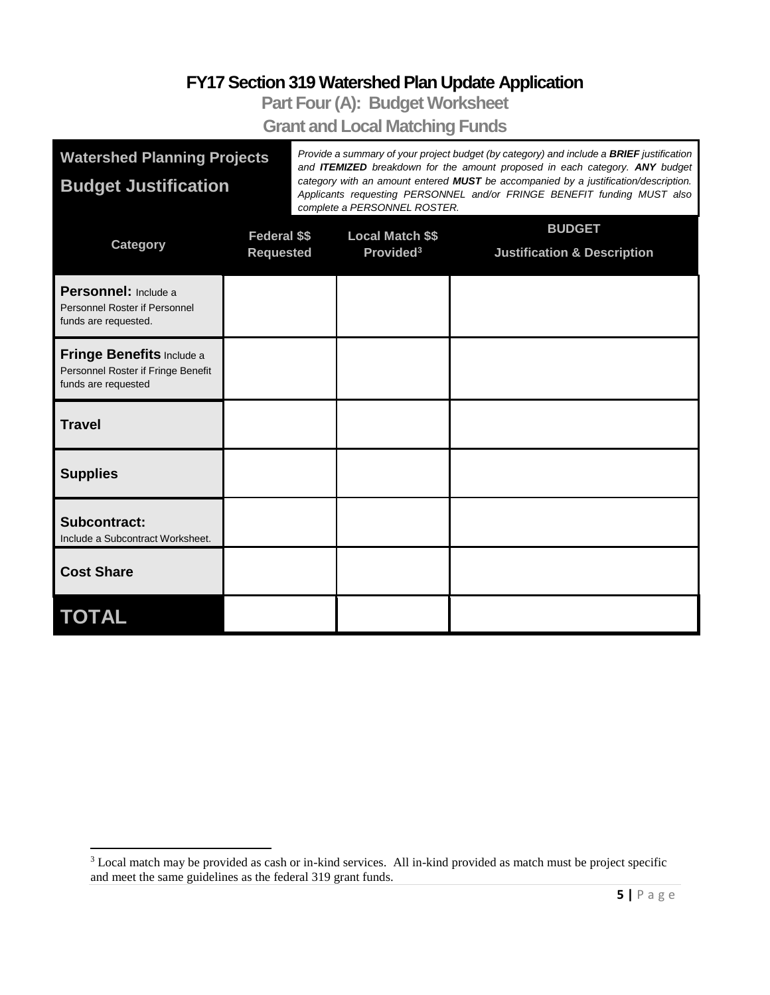## **FY17 Section 319 Watershed Plan Update Application**

**Part Four (A): Budget Worksheet**

**Grant and Local Matching Funds**

| <b>Watershed Planning Projects</b>                                                            |                  | Provide a summary of your project budget (by category) and include a <b>BRIEF</b> justification<br>and <b>ITEMIZED</b> breakdown for the amount proposed in each category. ANY budget |                                                                                                                                                                                                |                                        |  |  |  |  |
|-----------------------------------------------------------------------------------------------|------------------|---------------------------------------------------------------------------------------------------------------------------------------------------------------------------------------|------------------------------------------------------------------------------------------------------------------------------------------------------------------------------------------------|----------------------------------------|--|--|--|--|
| <b>Budget Justification</b>                                                                   |                  |                                                                                                                                                                                       | category with an amount entered MUST be accompanied by a justification/description.<br>Applicants requesting PERSONNEL and/or FRINGE BENEFIT funding MUST also<br>complete a PERSONNEL ROSTER. |                                        |  |  |  |  |
| <b>Category</b>                                                                               | Federal \$\$     |                                                                                                                                                                                       | <b>Local Match \$\$</b>                                                                                                                                                                        | <b>BUDGET</b>                          |  |  |  |  |
|                                                                                               | <b>Requested</b> |                                                                                                                                                                                       | Provided <sup>3</sup>                                                                                                                                                                          | <b>Justification &amp; Description</b> |  |  |  |  |
| Personnel: Include a<br>Personnel Roster if Personnel<br>funds are requested.                 |                  |                                                                                                                                                                                       |                                                                                                                                                                                                |                                        |  |  |  |  |
| <b>Fringe Benefits Include a</b><br>Personnel Roster if Fringe Benefit<br>funds are requested |                  |                                                                                                                                                                                       |                                                                                                                                                                                                |                                        |  |  |  |  |
| <b>Travel</b>                                                                                 |                  |                                                                                                                                                                                       |                                                                                                                                                                                                |                                        |  |  |  |  |
| <b>Supplies</b>                                                                               |                  |                                                                                                                                                                                       |                                                                                                                                                                                                |                                        |  |  |  |  |
| <b>Subcontract:</b><br>Include a Subcontract Worksheet.                                       |                  |                                                                                                                                                                                       |                                                                                                                                                                                                |                                        |  |  |  |  |
| <b>Cost Share</b>                                                                             |                  |                                                                                                                                                                                       |                                                                                                                                                                                                |                                        |  |  |  |  |
| <b>TOTAL</b>                                                                                  |                  |                                                                                                                                                                                       |                                                                                                                                                                                                |                                        |  |  |  |  |

l

<sup>&</sup>lt;sup>3</sup> Local match may be provided as cash or in-kind services. All in-kind provided as match must be project specific and meet the same guidelines as the federal 319 grant funds.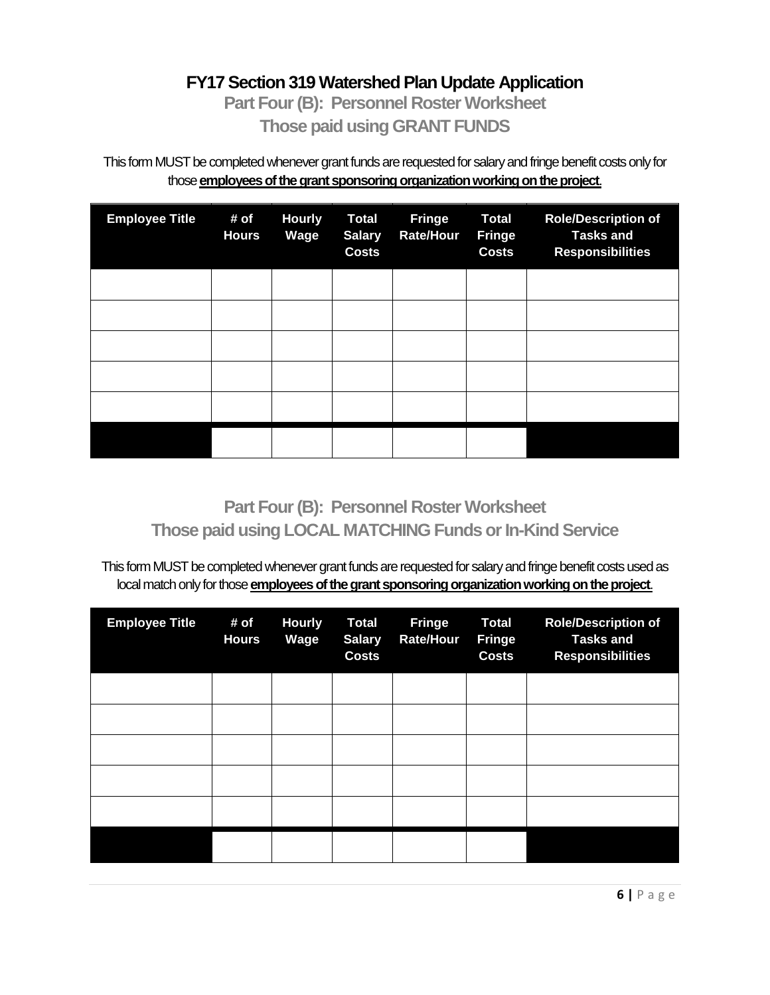#### **FY17 Section 319 Watershed Plan Update Application**

**Part Four (B): Personnel Roster Worksheet Those paid using GRANT FUNDS**

This form MUST be completed whenever grant funds are requested for salary and fringe benefit costs only for those **employees of the grant sponsoring organization working on the project**.

| <b>Employee Title</b> | # of<br><b>Hours</b> | <b>Hourly</b><br>Wage | <b>Total</b><br><b>Salary</b><br><b>Costs</b> | <b>Fringe</b><br><b>Rate/Hour</b> | <b>Total</b><br><b>Fringe</b><br><b>Costs</b> | <b>Role/Description of</b><br><b>Tasks and</b><br><b>Responsibilities</b> |
|-----------------------|----------------------|-----------------------|-----------------------------------------------|-----------------------------------|-----------------------------------------------|---------------------------------------------------------------------------|
|                       |                      |                       |                                               |                                   |                                               |                                                                           |
|                       |                      |                       |                                               |                                   |                                               |                                                                           |
|                       |                      |                       |                                               |                                   |                                               |                                                                           |
|                       |                      |                       |                                               |                                   |                                               |                                                                           |
|                       |                      |                       |                                               |                                   |                                               |                                                                           |
|                       |                      |                       |                                               |                                   |                                               |                                                                           |

**Part Four (B): Personnel Roster Worksheet Those paid using LOCAL MATCHING Funds or In-Kind Service**

This form MUST be completed whenever grant funds are requested for salary and fringe benefit costs used as local match only for those *employees of the grant sponsoring organization working on the project.* 

| <b>Employee Title</b> | # of<br><b>Hours</b> | <b>Hourly</b><br>Wage | <b>Total</b><br><b>Salary</b><br><b>Costs</b> | <b>Fringe</b><br><b>Rate/Hour</b> | <b>Total</b><br><b>Fringe</b><br><b>Costs</b> | <b>Role/Description of</b><br><b>Tasks and</b><br><b>Responsibilities</b> |
|-----------------------|----------------------|-----------------------|-----------------------------------------------|-----------------------------------|-----------------------------------------------|---------------------------------------------------------------------------|
|                       |                      |                       |                                               |                                   |                                               |                                                                           |
|                       |                      |                       |                                               |                                   |                                               |                                                                           |
|                       |                      |                       |                                               |                                   |                                               |                                                                           |
|                       |                      |                       |                                               |                                   |                                               |                                                                           |
|                       |                      |                       |                                               |                                   |                                               |                                                                           |
|                       |                      |                       |                                               |                                   |                                               |                                                                           |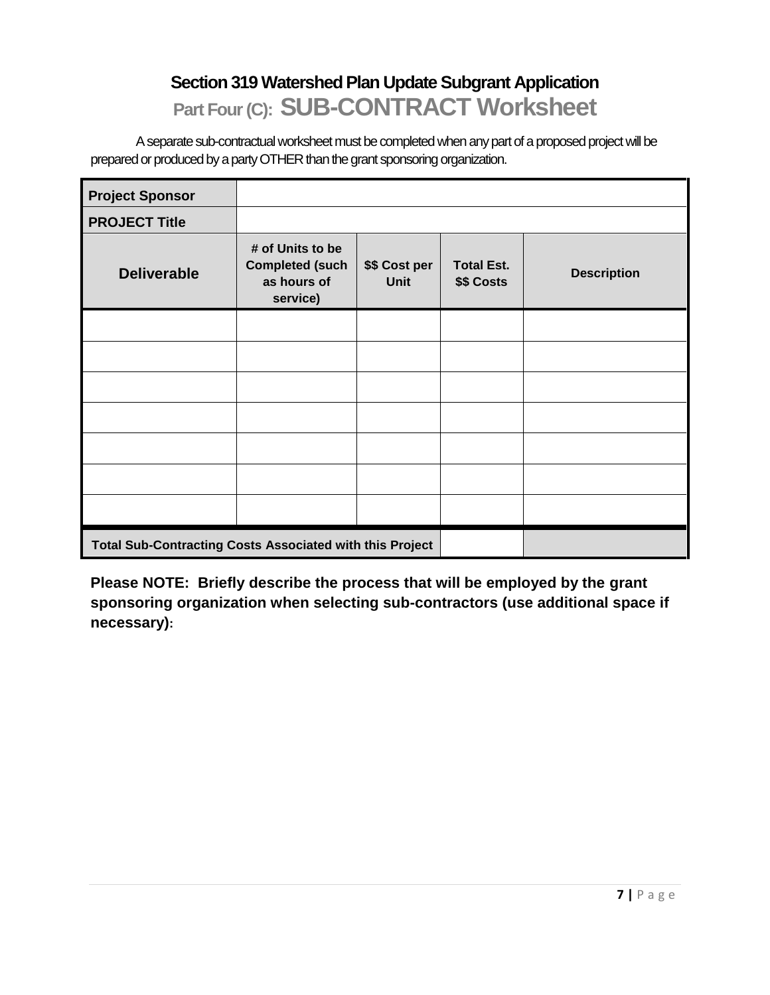## **Section 319 Watershed Plan Update Subgrant Application Part Four (C): SUB-CONTRACT Worksheet**

A separate sub-contractual worksheet must be completed when any part of a proposed project will be prepared or produced by a party OTHER than the grant sponsoring organization.

| <b>Project Sponsor</b>                                          |                                                                       |                              |                                 |                    |  |
|-----------------------------------------------------------------|-----------------------------------------------------------------------|------------------------------|---------------------------------|--------------------|--|
| <b>PROJECT Title</b>                                            |                                                                       |                              |                                 |                    |  |
| <b>Deliverable</b>                                              | # of Units to be<br><b>Completed (such</b><br>as hours of<br>service) | \$\$ Cost per<br><b>Unit</b> | <b>Total Est.</b><br>\$\$ Costs | <b>Description</b> |  |
|                                                                 |                                                                       |                              |                                 |                    |  |
|                                                                 |                                                                       |                              |                                 |                    |  |
|                                                                 |                                                                       |                              |                                 |                    |  |
|                                                                 |                                                                       |                              |                                 |                    |  |
|                                                                 |                                                                       |                              |                                 |                    |  |
|                                                                 |                                                                       |                              |                                 |                    |  |
|                                                                 |                                                                       |                              |                                 |                    |  |
| <b>Total Sub-Contracting Costs Associated with this Project</b> |                                                                       |                              |                                 |                    |  |

**Please NOTE: Briefly describe the process that will be employed by the grant sponsoring organization when selecting sub-contractors (use additional space if necessary):**